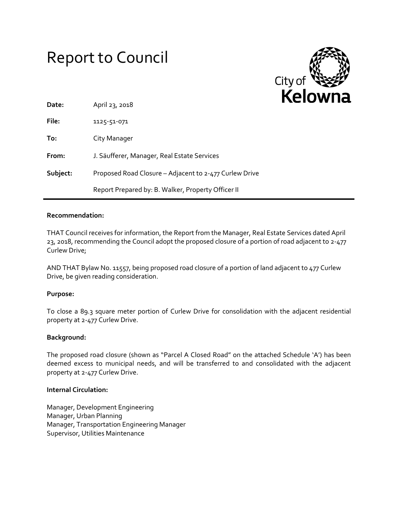# Report to Council



| Date:    | April 23, 2018                                         |
|----------|--------------------------------------------------------|
| File:    | 1125-51-071                                            |
| To:      | City Manager                                           |
| From:    | J. Säufferer, Manager, Real Estate Services            |
| Subject: | Proposed Road Closure – Adjacent to 2-477 Curlew Drive |
|          | Report Prepared by: B. Walker, Property Officer II     |

## **Recommendation:**

THAT Council receives for information, the Report from the Manager, Real Estate Services dated April 23, 2018, recommending the Council adopt the proposed closure of a portion of road adjacent to 2-477 Curlew Drive;

AND THAT Bylaw No. 11557, being proposed road closure of a portion of land adjacent to 477 Curlew Drive, be given reading consideration.

# **Purpose:**

To close a 89.3 square meter portion of Curlew Drive for consolidation with the adjacent residential property at 2-477 Curlew Drive.

#### **Background:**

The proposed road closure (shown as "Parcel A Closed Road" on the attached Schedule 'A') has been deemed excess to municipal needs, and will be transferred to and consolidated with the adjacent property at 2-477 Curlew Drive.

#### **Internal Circulation:**

Manager, Development Engineering Manager, Urban Planning Manager, Transportation Engineering Manager Supervisor, Utilities Maintenance